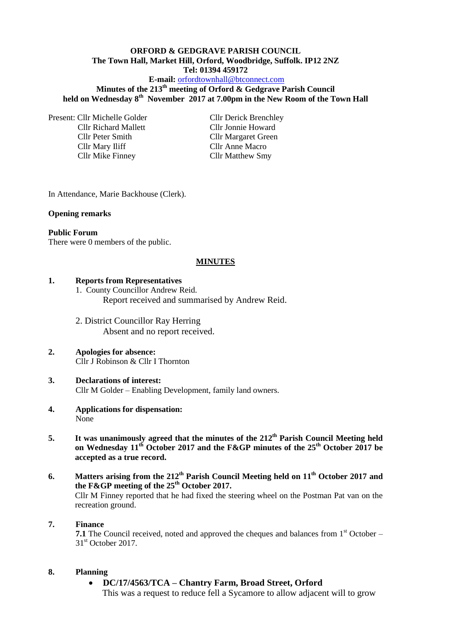# **ORFORD & GEDGRAVE PARISH COUNCIL The Town Hall, Market Hill, Orford, Woodbridge, Suffolk. IP12 2NZ Tel: 01394 459172**

## **E-mail:** [orfordtownhall@btconnect.com](mailto:orfordtownhall@btconnect.com)

**Minutes of the 213th meeting of Orford & Gedgrave Parish Council held on Wednesday 8th November 2017 at 7.00pm in the New Room of the Town Hall**

Present: Cllr Michelle Golder Cllr Derick Brenchley Cllr Richard Mallett Cllr Jonnie Howard Cllr Peter Smith Cllr Margaret Green Cllr Mary Iliff Cllr Anne Macro Cllr Mike Finney Cllr Matthew Smy

In Attendance, Marie Backhouse (Clerk).

#### **Opening remarks**

#### **Public Forum**

There were 0 members of the public.

### **MINUTES**

### **1. Reports from Representatives**

- 1. County Councillor Andrew Reid. Report received and summarised by Andrew Reid.
- 2. District Councillor Ray Herring Absent and no report received.

#### **2. Apologies for absence:** Cllr J Robinson & Cllr I Thornton

## **3. Declarations of interest:** Cllr M Golder – Enabling Development, family land owners.

- **4. Applications for dispensation:** None
- **5. It was unanimously agreed that the minutes of the 212th Parish Council Meeting held on Wednesday 11th October 2017 and the F&GP minutes of the 25th October 2017 be accepted as a true record.**
- **6. Matters arising from the 212th Parish Council Meeting held on 11th October 2017 and the F&GP meeting of the 25th October 2017.**  Cllr M Finney reported that he had fixed the steering wheel on the Postman Pat van on the recreation ground.

### **7. Finance**

**7.1** The Council received, noted and approved the cheques and balances from 1<sup>st</sup> October – 31<sup>st</sup> October 2017.

### **8. Planning**

 **DC/17/4563/TCA – Chantry Farm, Broad Street, Orford** This was a request to reduce fell a Sycamore to allow adjacent will to grow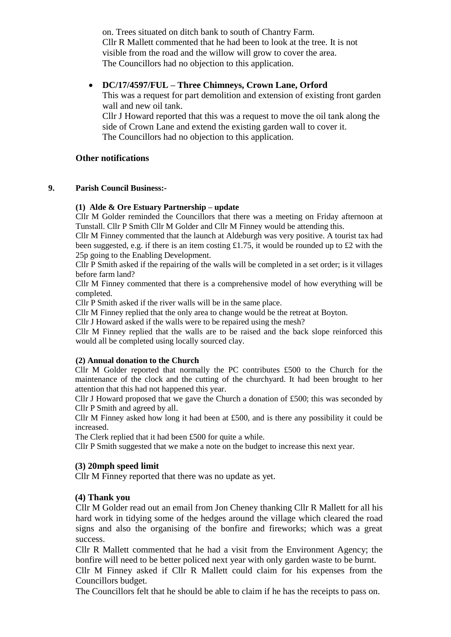on. Trees situated on ditch bank to south of Chantry Farm. Cllr R Mallett commented that he had been to look at the tree. It is not visible from the road and the willow will grow to cover the area. The Councillors had no objection to this application.

## **DC/17/4597/FUL – Three Chimneys, Crown Lane, Orford**

This was a request for part demolition and extension of existing front garden wall and new oil tank.

Cllr J Howard reported that this was a request to move the oil tank along the side of Crown Lane and extend the existing garden wall to cover it. The Councillors had no objection to this application.

## **Other notifications**

### **9. Parish Council Business:-**

### **(1) Alde & Ore Estuary Partnership – update**

Cllr M Golder reminded the Councillors that there was a meeting on Friday afternoon at Tunstall. Cllr P Smith Cllr M Golder and Cllr M Finney would be attending this.

Cllr M Finney commented that the launch at Aldeburgh was very positive. A tourist tax had been suggested, e.g. if there is an item costing £1.75, it would be rounded up to £2 with the 25p going to the Enabling Development.

Cllr P Smith asked if the repairing of the walls will be completed in a set order; is it villages before farm land?

Cllr M Finney commented that there is a comprehensive model of how everything will be completed.

Cllr P Smith asked if the river walls will be in the same place.

Cllr M Finney replied that the only area to change would be the retreat at Boyton.

Cllr J Howard asked if the walls were to be repaired using the mesh?

Cllr M Finney replied that the walls are to be raised and the back slope reinforced this would all be completed using locally sourced clay.

### **(2) Annual donation to the Church**

Cllr M Golder reported that normally the PC contributes £500 to the Church for the maintenance of the clock and the cutting of the churchyard. It had been brought to her attention that this had not happened this year.

Cllr J Howard proposed that we gave the Church a donation of £500; this was seconded by Cllr P Smith and agreed by all.

Cllr M Finney asked how long it had been at £500, and is there any possibility it could be increased.

The Clerk replied that it had been £500 for quite a while.

Cllr P Smith suggested that we make a note on the budget to increase this next year.

## **(3) 20mph speed limit**

Cllr M Finney reported that there was no update as yet.

## **(4) Thank you**

Cllr M Golder read out an email from Jon Cheney thanking Cllr R Mallett for all his hard work in tidying some of the hedges around the village which cleared the road signs and also the organising of the bonfire and fireworks; which was a great success.

Cllr R Mallett commented that he had a visit from the Environment Agency; the bonfire will need to be better policed next year with only garden waste to be burnt.

Cllr M Finney asked if Cllr R Mallett could claim for his expenses from the Councillors budget.

The Councillors felt that he should be able to claim if he has the receipts to pass on.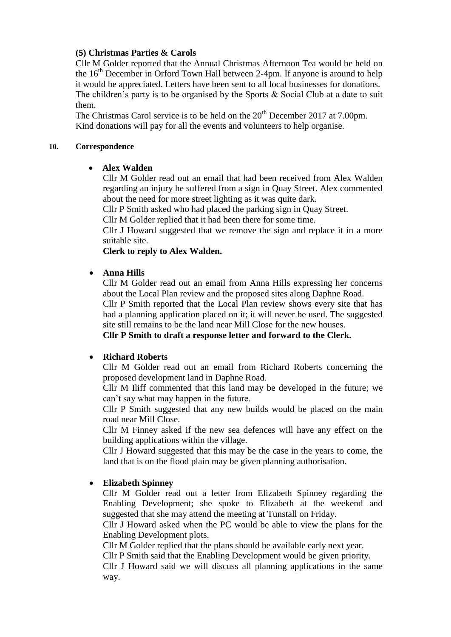# **(5) Christmas Parties & Carols**

Cllr M Golder reported that the Annual Christmas Afternoon Tea would be held on the  $16<sup>th</sup>$  December in Orford Town Hall between 2-4pm. If anyone is around to help it would be appreciated. Letters have been sent to all local businesses for donations. The children's party is to be organised by the Sports  $\&$  Social Club at a date to suit them.

The Christmas Carol service is to be held on the  $20<sup>th</sup>$  December 2017 at 7.00pm. Kind donations will pay for all the events and volunteers to help organise.

## **10. Correspondence**

# **Alex Walden**

Cllr M Golder read out an email that had been received from Alex Walden regarding an injury he suffered from a sign in Quay Street. Alex commented about the need for more street lighting as it was quite dark.

Cllr P Smith asked who had placed the parking sign in Quay Street.

Cllr M Golder replied that it had been there for some time.

Cllr J Howard suggested that we remove the sign and replace it in a more suitable site.

**Clerk to reply to Alex Walden.**

## **Anna Hills**

Cllr M Golder read out an email from Anna Hills expressing her concerns about the Local Plan review and the proposed sites along Daphne Road.

Cllr P Smith reported that the Local Plan review shows every site that has had a planning application placed on it; it will never be used. The suggested site still remains to be the land near Mill Close for the new houses.

**Cllr P Smith to draft a response letter and forward to the Clerk.**

# **Richard Roberts**

Cllr M Golder read out an email from Richard Roberts concerning the proposed development land in Daphne Road.

Cllr M Iliff commented that this land may be developed in the future; we can't say what may happen in the future.

Cllr P Smith suggested that any new builds would be placed on the main road near Mill Close.

Cllr M Finney asked if the new sea defences will have any effect on the building applications within the village.

Cllr J Howard suggested that this may be the case in the years to come, the land that is on the flood plain may be given planning authorisation.

# **Elizabeth Spinney**

Cllr M Golder read out a letter from Elizabeth Spinney regarding the Enabling Development; she spoke to Elizabeth at the weekend and suggested that she may attend the meeting at Tunstall on Friday.

Cllr J Howard asked when the PC would be able to view the plans for the Enabling Development plots.

Cllr M Golder replied that the plans should be available early next year. Cllr P Smith said that the Enabling Development would be given priority.

Cllr J Howard said we will discuss all planning applications in the same way.